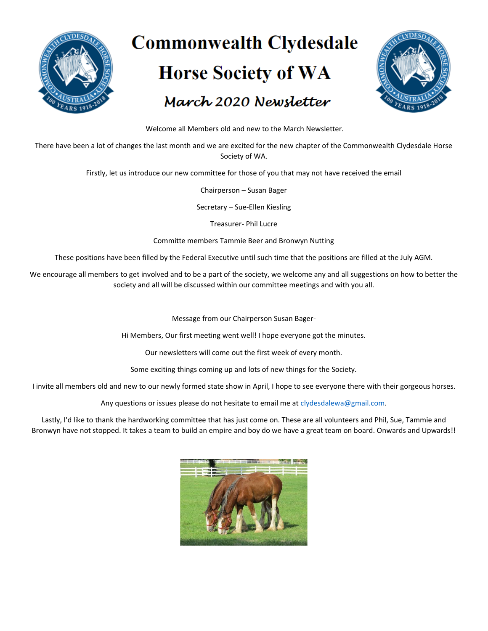

# **Commonwealth Clydesdale Horse Society of WA** March 2020 Newsletter



Welcome all Members old and new to the March Newsletter.

There have been a lot of changes the last month and we are excited for the new chapter of the Commonwealth Clydesdale Horse Society of WA.

Firstly, let us introduce our new committee for those of you that may not have received the email

Chairperson – Susan Bager

Secretary – Sue-Ellen Kiesling

Treasurer- Phil Lucre

Committe members Tammie Beer and Bronwyn Nutting

These positions have been filled by the Federal Executive until such time that the positions are filled at the July AGM.

We encourage all members to get involved and to be a part of the society, we welcome any and all suggestions on how to better the society and all will be discussed within our committee meetings and with you all.

Message from our Chairperson Susan Bager-

Hi Members, Our first meeting went well! I hope everyone got the minutes.

Our newsletters will come out the first week of every month.

Some exciting things coming up and lots of new things for the Society.

I invite all members old and new to our newly formed state show in April, I hope to see everyone there with their gorgeous horses.

Any questions or issues please do not hesitate to email me at [clydesdalewa@gmail.com.](mailto:clydesdalewa@gmail.com)

Lastly, I'd like to thank the hardworking committee that has just come on. These are all volunteers and Phil, Sue, Tammie and Bronwyn have not stopped. It takes a team to build an empire and boy do we have a great team on board. Onwards and Upwards!!

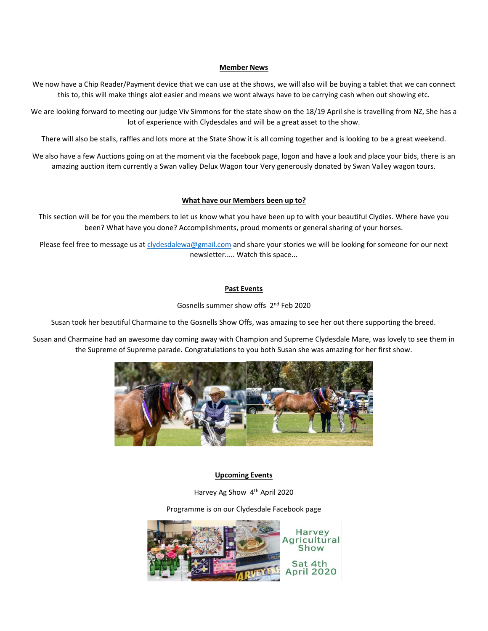## **Member News**

We now have a Chip Reader/Payment device that we can use at the shows, we will also will be buying a tablet that we can connect this to, this will make things alot easier and means we wont always have to be carrying cash when out showing etc.

We are looking forward to meeting our judge Viv Simmons for the state show on the 18/19 April she is travelling from NZ, She has a lot of experience with Clydesdales and will be a great asset to the show.

There will also be stalls, raffles and lots more at the State Show it is all coming together and is looking to be a great weekend.

We also have a few Auctions going on at the moment via the facebook page, logon and have a look and place your bids, there is an amazing auction item currently a Swan valley Delux Wagon tour Very generously donated by Swan Valley wagon tours.

#### **What have our Members been up to?**

This section will be for you the members to let us know what you have been up to with your beautiful Clydies. Where have you been? What have you done? Accomplishments, proud moments or general sharing of your horses.

Please feel free to message us a[t clydesdalewa@gmail.com](mailto:clydesdalewa@gmail.com) and share your stories we will be looking for someone for our next newsletter..... Watch this space...

## **Past Events**

Gosnells summer show offs 2nd Feb 2020

Susan took her beautiful Charmaine to the Gosnells Show Offs, was amazing to see her out there supporting the breed.

Susan and Charmaine had an awesome day coming away with Champion and Supreme Clydesdale Mare, was lovely to see them in the Supreme of Supreme parade. Congratulations to you both Susan she was amazing for her first show.



## **Upcoming Events**

Harvey Ag Show 4th April 2020

Programme is on our Clydesdale Facebook page